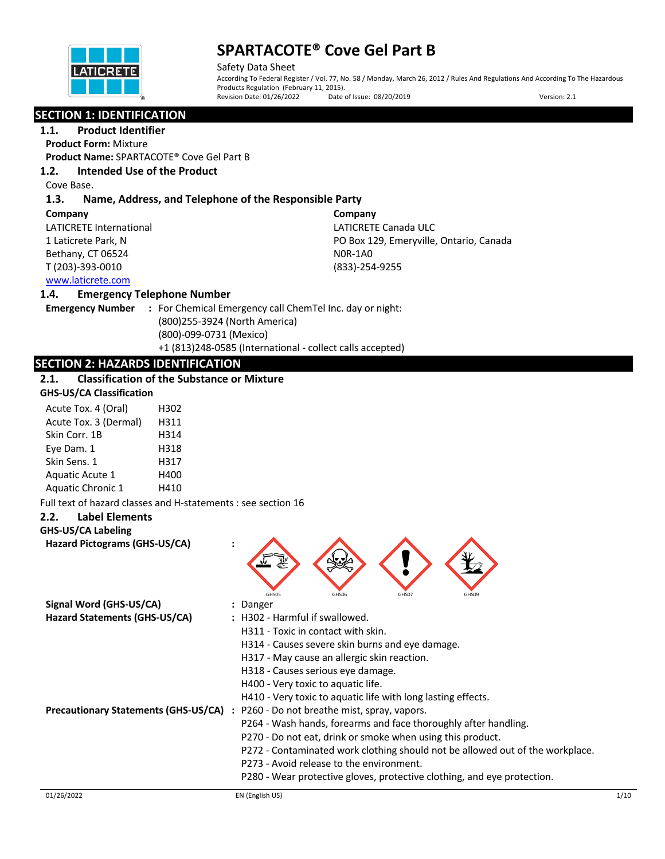

Safety Data Sheet According To Federal Register / Vol. 77, No. 58 / Monday, March 26, 2012 / Rules And Regulations And According To The Hazardous Products Regulation (February 11, 2015).<br>Revision Date: 01/26/2022 Date o Date of Issue: 08/20/2019 Version: 2.1

# **SECTION 1: IDENTIFICATION**

**1.1. Product Identifier Product Form:** Mixture

**Product Name:** SPARTACOTE® Cove Gel Part B

# **1.2. Intended Use of the Product**

Cove Base.

# **1.3. Name, Address, and Telephone of the Responsible Party**

#### **Company**

LATICRETE International 1 Laticrete Park, N Bethany, CT 06524 T (203)-393-0010

**Company** LATICRETE Canada ULC PO Box 129, Emeryville, Ontario, Canada N0R-1A0 (833)-254-9255

# www.laticrete.com

## **1.4. Emergency Telephone Number**

**Emergency Number :** For Chemical Emergency call ChemTel Inc. day or night: (800)255-3924 (North America) (800)-099-0731 (Mexico) +1 (813)248-0585 (International - collect calls accepted)

# **SECTION 2: HAZARDS IDENTIFICATION**

# **2.1. Classification of the Substance or Mixture**

|  | <b>GHS-US/CA Classification</b> |
|--|---------------------------------|
|--|---------------------------------|

| Acute Tox. 4 (Oral)      | H302 |
|--------------------------|------|
| Acute Tox. 3 (Dermal)    | H311 |
| Skin Corr. 1B            | H314 |
| Eye Dam. 1               | H318 |
| Skin Sens. 1             | H317 |
| Aquatic Acute 1          | H400 |
| <b>Aquatic Chronic 1</b> | H410 |

Full text of hazard classes and H-statements : see section 16

# **2.2. Label Elements**

# **GHS-US/CA Labeling**

**Hazard Pictograms (GHS-US/CA) :**



| Signal Word (GHS-US/CA)                     | : Danger                                                                      |
|---------------------------------------------|-------------------------------------------------------------------------------|
| Hazard Statements (GHS-US/CA)               | : H302 - Harmful if swallowed.                                                |
|                                             | H311 - Toxic in contact with skin.                                            |
|                                             | H314 - Causes severe skin burns and eye damage.                               |
|                                             | H317 - May cause an allergic skin reaction.                                   |
|                                             | H318 - Causes serious eye damage.                                             |
|                                             | H400 - Very toxic to aquatic life.                                            |
|                                             | H410 - Very toxic to aquatic life with long lasting effects.                  |
| <b>Precautionary Statements (GHS-US/CA)</b> | P260 - Do not breathe mist, spray, vapors.                                    |
|                                             | P264 - Wash hands, forearms and face thoroughly after handling.               |
|                                             | P270 - Do not eat, drink or smoke when using this product.                    |
|                                             | P272 - Contaminated work clothing should not be allowed out of the workplace. |
|                                             | P273 - Avoid release to the environment.                                      |
|                                             | P280 - Wear protective gloves, protective clothing, and eye protection.       |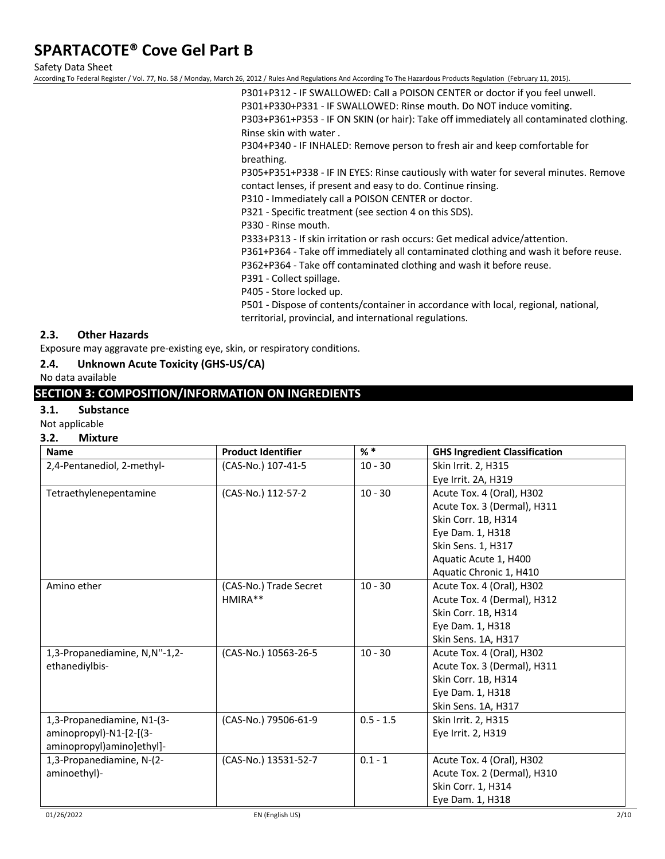Safety Data Sheet

According To Federal Register / Vol. 77, No. 58 / Monday, March 26, 2012 / Rules And Regulations And According To The Hazardous Products Regulation (February 11, 2015).

P301+P312 - IF SWALLOWED: Call a POISON CENTER or doctor if you feel unwell. P301+P330+P331 - IF SWALLOWED: Rinse mouth. Do NOT induce vomiting. P303+P361+P353 - IF ON SKIN (or hair): Take off immediately all contaminated clothing. Rinse skin with water .

P304+P340 - IF INHALED: Remove person to fresh air and keep comfortable for breathing.

P305+P351+P338 - IF IN EYES: Rinse cautiously with water for several minutes. Remove contact lenses, if present and easy to do. Continue rinsing.

P310 - Immediately call a POISON CENTER or doctor.

P321 - Specific treatment (see section 4 on this SDS).

P330 - Rinse mouth.

P333+P313 - If skin irritation or rash occurs: Get medical advice/attention.

P361+P364 - Take off immediately all contaminated clothing and wash it before reuse.

P362+P364 - Take off contaminated clothing and wash it before reuse.

- P391 Collect spillage.
- P405 Store locked up.

P501 - Dispose of contents/container in accordance with local, regional, national, territorial, provincial, and international regulations.

# **2.3. Other Hazards**

Exposure may aggravate pre-existing eye, skin, or respiratory conditions.

### **2.4. Unknown Acute Toxicity (GHS-US/CA)**

No data available

# **SECTION 3: COMPOSITION/INFORMATION ON INGREDIENTS**

### **3.1. Substance**

Not applicable

## **3.2. Mixture**

| <b>Name</b>                   | <b>Product Identifier</b> | % *         | <b>GHS Ingredient Classification</b> |
|-------------------------------|---------------------------|-------------|--------------------------------------|
| 2,4-Pentanediol, 2-methyl-    | (CAS-No.) 107-41-5        | $10 - 30$   | Skin Irrit. 2, H315                  |
|                               |                           |             | Eye Irrit. 2A, H319                  |
| Tetraethylenepentamine        | (CAS-No.) 112-57-2        | $10 - 30$   | Acute Tox. 4 (Oral), H302            |
|                               |                           |             | Acute Tox. 3 (Dermal), H311          |
|                               |                           |             | Skin Corr. 1B, H314                  |
|                               |                           |             | Eye Dam. 1, H318                     |
|                               |                           |             | Skin Sens. 1, H317                   |
|                               |                           |             | Aquatic Acute 1, H400                |
|                               |                           |             | Aquatic Chronic 1, H410              |
| Amino ether                   | (CAS-No.) Trade Secret    | $10 - 30$   | Acute Tox. 4 (Oral), H302            |
|                               | HMIRA**                   |             | Acute Tox. 4 (Dermal), H312          |
|                               |                           |             | Skin Corr. 1B, H314                  |
|                               |                           |             | Eye Dam. 1, H318                     |
|                               |                           |             | Skin Sens. 1A, H317                  |
| 1,3-Propanediamine, N,N"-1,2- | (CAS-No.) 10563-26-5      | $10 - 30$   | Acute Tox. 4 (Oral), H302            |
| ethanediylbis-                |                           |             | Acute Tox. 3 (Dermal), H311          |
|                               |                           |             | Skin Corr. 1B, H314                  |
|                               |                           |             | Eye Dam. 1, H318                     |
|                               |                           |             | Skin Sens. 1A, H317                  |
| 1,3-Propanediamine, N1-(3-    | (CAS-No.) 79506-61-9      | $0.5 - 1.5$ | Skin Irrit. 2, H315                  |
| aminopropyl)-N1-[2-[(3-       |                           |             | Eye Irrit. 2, H319                   |
| aminopropyl)amino]ethyl]-     |                           |             |                                      |
| 1,3-Propanediamine, N-(2-     | (CAS-No.) 13531-52-7      | $0.1 - 1$   | Acute Tox. 4 (Oral), H302            |
| aminoethyl)-                  |                           |             | Acute Tox. 2 (Dermal), H310          |
|                               |                           |             | Skin Corr. 1, H314                   |
|                               |                           |             | Eye Dam. 1, H318                     |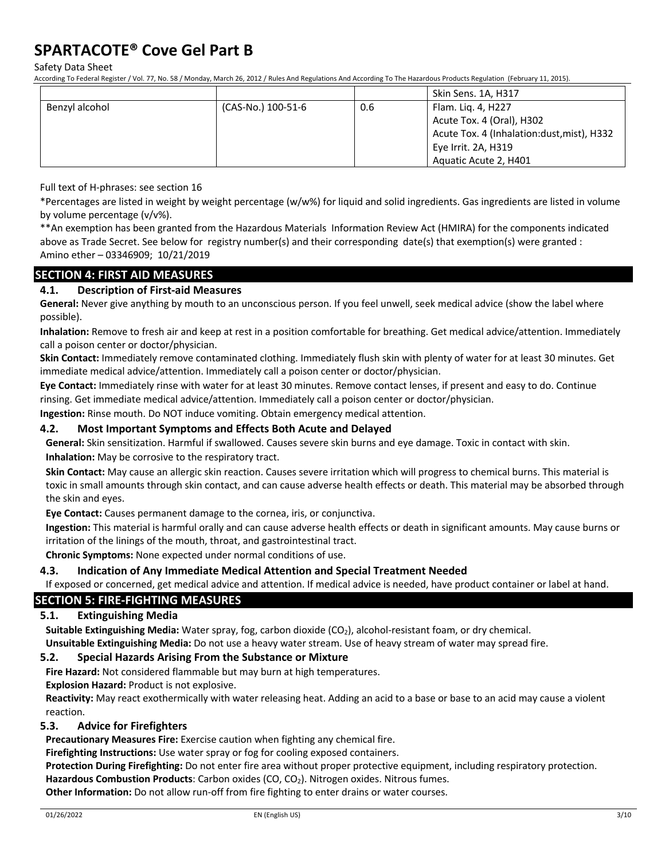Safety Data Sheet

According To Federal Register / Vol. 77, No. 58 / Monday, March 26, 2012 / Rules And Regulations And According To The Hazardous Products Regulation (February 11, 2015).

|                |                    |     | Skin Sens. 1A, H317                        |
|----------------|--------------------|-----|--------------------------------------------|
| Benzyl alcohol | (CAS-No.) 100-51-6 | 0.6 | Flam. Lig. 4, H227                         |
|                |                    |     | Acute Tox. 4 (Oral), H302                  |
|                |                    |     | Acute Tox. 4 (Inhalation:dust, mist), H332 |
|                |                    |     | Eye Irrit. 2A, H319                        |
|                |                    |     | Aquatic Acute 2, H401                      |

Full text of H-phrases: see section 16

\*Percentages are listed in weight by weight percentage (w/w%) for liquid and solid ingredients. Gas ingredients are listed in volume by volume percentage (v/v%).

\*\*An exemption has been granted from the Hazardous Materials Information Review Act (HMIRA) for the components indicated above as Trade Secret. See below for registry number(s) and their corresponding date(s) that exemption(s) were granted : Amino ether – 03346909; 10/21/2019

# **SECTION 4: FIRST AID MEASURES**

# **4.1. Description of First-aid Measures**

**General:** Never give anything by mouth to an unconscious person. If you feel unwell, seek medical advice (show the label where possible).

**Inhalation:** Remove to fresh air and keep at rest in a position comfortable for breathing. Get medical advice/attention. Immediately call a poison center or doctor/physician.

**Skin Contact:** Immediately remove contaminated clothing. Immediately flush skin with plenty of water for at least 30 minutes. Get immediate medical advice/attention. Immediately call a poison center or doctor/physician.

**Eye Contact:** Immediately rinse with water for at least 30 minutes. Remove contact lenses, if present and easy to do. Continue rinsing. Get immediate medical advice/attention. Immediately call a poison center or doctor/physician.

**Ingestion:** Rinse mouth. Do NOT induce vomiting. Obtain emergency medical attention.

### **4.2. Most Important Symptoms and Effects Both Acute and Delayed**

**General:** Skin sensitization. Harmful if swallowed. Causes severe skin burns and eye damage. Toxic in contact with skin. **Inhalation:** May be corrosive to the respiratory tract.

**Skin Contact:** May cause an allergic skin reaction. Causes severe irritation which will progress to chemical burns. This material is toxic in small amounts through skin contact, and can cause adverse health effects or death. This material may be absorbed through the skin and eyes.

**Eye Contact:** Causes permanent damage to the cornea, iris, or conjunctiva.

**Ingestion:** This material is harmful orally and can cause adverse health effects or death in significant amounts. May cause burns or irritation of the linings of the mouth, throat, and gastrointestinal tract.

**Chronic Symptoms:** None expected under normal conditions of use.

## **4.3. Indication of Any Immediate Medical Attention and Special Treatment Needed**

If exposed or concerned, get medical advice and attention. If medical advice is needed, have product container or label at hand.

## **SECTION 5: FIRE-FIGHTING MEASURES**

## **5.1. Extinguishing Media**

**Suitable Extinguishing Media:** Water spray, fog, carbon dioxide (CO<sub>2</sub>), alcohol-resistant foam, or dry chemical.

**Unsuitable Extinguishing Media:** Do not use a heavy water stream. Use of heavy stream of water may spread fire.

## **5.2. Special Hazards Arising From the Substance or Mixture**

**Fire Hazard:** Not considered flammable but may burn at high temperatures.

**Explosion Hazard:** Product is not explosive.

**Reactivity:** May react exothermically with water releasing heat. Adding an acid to a base or base to an acid may cause a violent reaction.

## **5.3. Advice for Firefighters**

**Precautionary Measures Fire:** Exercise caution when fighting any chemical fire.

**Firefighting Instructions:** Use water spray or fog for cooling exposed containers.

**Protection During Firefighting:** Do not enter fire area without proper protective equipment, including respiratory protection.

Hazardous Combustion Products: Carbon oxides (CO, CO<sub>2</sub>). Nitrogen oxides. Nitrous fumes.

**Other Information:** Do not allow run-off from fire fighting to enter drains or water courses.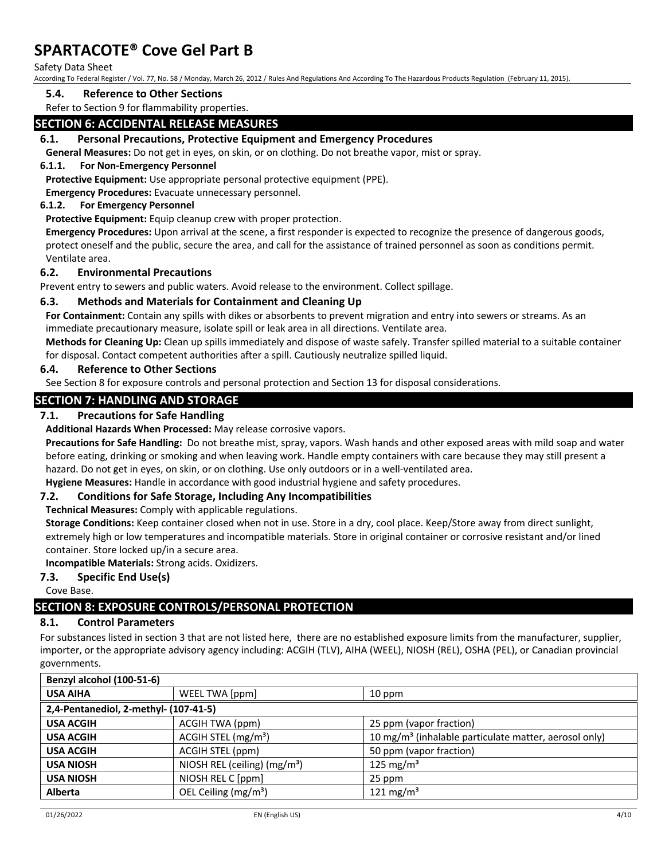### Safety Data Sheet

According To Federal Register / Vol. 77, No. 58 / Monday, March 26, 2012 / Rules And Regulations And According To The Hazardous Products Regulation (February 11, 2015).

### **5.4. Reference to Other Sections**

Refer to Section 9 for flammability properties.

# **SECTION 6: ACCIDENTAL RELEASE MEASURES**

### **6.1. Personal Precautions, Protective Equipment and Emergency Procedures**

**General Measures:** Do not get in eyes, on skin, or on clothing. Do not breathe vapor, mist or spray.

### **6.1.1. For Non-Emergency Personnel**

**Protective Equipment:** Use appropriate personal protective equipment (PPE).

**Emergency Procedures:** Evacuate unnecessary personnel.

#### **6.1.2. For Emergency Personnel**

**Protective Equipment:** Equip cleanup crew with proper protection.

**Emergency Procedures:** Upon arrival at the scene, a first responder is expected to recognize the presence of dangerous goods, protect oneself and the public, secure the area, and call for the assistance of trained personnel as soon as conditions permit. Ventilate area.

#### **6.2. Environmental Precautions**

Prevent entry to sewers and public waters. Avoid release to the environment. Collect spillage.

#### **6.3. Methods and Materials for Containment and Cleaning Up**

**For Containment:** Contain any spills with dikes or absorbents to prevent migration and entry into sewers or streams. As an immediate precautionary measure, isolate spill or leak area in all directions. Ventilate area.

**Methods for Cleaning Up:** Clean up spills immediately and dispose of waste safely. Transfer spilled material to a suitable container for disposal. Contact competent authorities after a spill. Cautiously neutralize spilled liquid.

### **6.4. Reference to Other Sections**

See Section 8 for exposure controls and personal protection and Section 13 for disposal considerations.

# **SECTION 7: HANDLING AND STORAGE**

### **7.1. Precautions for Safe Handling**

**Additional Hazards When Processed:** May release corrosive vapors.

**Precautions for Safe Handling:** Do not breathe mist, spray, vapors. Wash hands and other exposed areas with mild soap and water before eating, drinking or smoking and when leaving work. Handle empty containers with care because they may still present a hazard. Do not get in eyes, on skin, or on clothing. Use only outdoors or in a well-ventilated area.

**Hygiene Measures:** Handle in accordance with good industrial hygiene and safety procedures.

## **7.2. Conditions for Safe Storage, Including Any Incompatibilities**

**Technical Measures:** Comply with applicable regulations.

**Storage Conditions:** Keep container closed when not in use. Store in a dry, cool place. Keep/Store away from direct sunlight, extremely high or low temperatures and incompatible materials. Store in original container or corrosive resistant and/or lined container. Store locked up/in a secure area.

**Incompatible Materials:** Strong acids. Oxidizers.

#### **7.3. Specific End Use(s)**

Cove Base.

# **SECTION 8: EXPOSURE CONTROLS/PERSONAL PROTECTION**

# **8.1. Control Parameters**

For substances listed in section 3 that are not listed here, there are no established exposure limits from the manufacturer, supplier, importer, or the appropriate advisory agency including: ACGIH (TLV), AIHA (WEEL), NIOSH (REL), OSHA (PEL), or Canadian provincial governments.

| Benzyl alcohol (100-51-6)             |                                  |                                                                   |  |  |
|---------------------------------------|----------------------------------|-------------------------------------------------------------------|--|--|
| <b>USA AIHA</b>                       | WEEL TWA [ppm]                   | 10 ppm                                                            |  |  |
| 2,4-Pentanediol, 2-methyl- (107-41-5) |                                  |                                                                   |  |  |
| <b>USA ACGIH</b>                      | ACGIH TWA (ppm)                  | 25 ppm (vapor fraction)                                           |  |  |
| <b>USA ACGIH</b>                      | ACGIH STEL (mg/m <sup>3</sup> )  | 10 mg/m <sup>3</sup> (inhalable particulate matter, aerosol only) |  |  |
| <b>USA ACGIH</b>                      | ACGIH STEL (ppm)                 | 50 ppm (vapor fraction)                                           |  |  |
| <b>USA NIOSH</b>                      | NIOSH REL (ceiling) $(mg/m3)$    | 125 mg/m <sup>3</sup>                                             |  |  |
| <b>USA NIOSH</b>                      | NIOSH REL C [ppm]                | 25 ppm                                                            |  |  |
| Alberta                               | OEL Ceiling (mg/m <sup>3</sup> ) | 121 mg/m <sup>3</sup>                                             |  |  |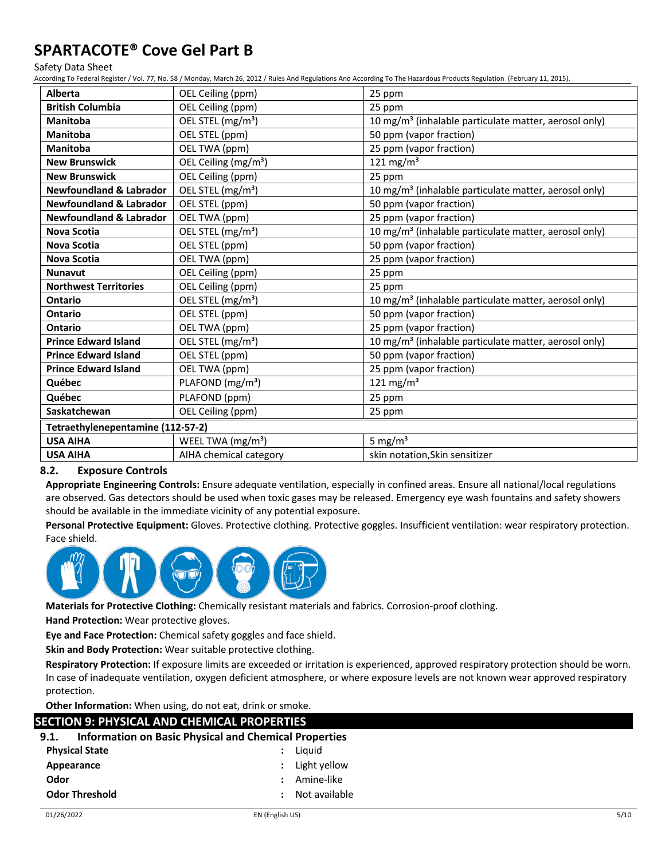#### Safety Data Sheet

According To Federal Register / Vol. 77, No. 58 / Monday, March 26, 2012 / Rules And Regulations And According To The Hazardous Products Regulation (February 11, 2015).

| <b>Alberta</b>                     | OEL Ceiling (ppm)                | 25 ppm                                                            |  |
|------------------------------------|----------------------------------|-------------------------------------------------------------------|--|
| <b>British Columbia</b>            | OEL Ceiling (ppm)                | 25 ppm                                                            |  |
| Manitoba                           | OEL STEL (mg/m <sup>3</sup> )    | 10 mg/m <sup>3</sup> (inhalable particulate matter, aerosol only) |  |
| Manitoba                           | OEL STEL (ppm)                   | 50 ppm (vapor fraction)                                           |  |
| Manitoba                           | OEL TWA (ppm)                    | 25 ppm (vapor fraction)                                           |  |
| <b>New Brunswick</b>               | OEL Ceiling (mg/m <sup>3</sup> ) | 121 mg/m <sup>3</sup>                                             |  |
| <b>New Brunswick</b>               | OEL Ceiling (ppm)                | 25 ppm                                                            |  |
| <b>Newfoundland &amp; Labrador</b> | OEL STEL (mg/m <sup>3</sup> )    | 10 mg/m <sup>3</sup> (inhalable particulate matter, aerosol only) |  |
| <b>Newfoundland &amp; Labrador</b> | OEL STEL (ppm)                   | 50 ppm (vapor fraction)                                           |  |
| <b>Newfoundland &amp; Labrador</b> | OEL TWA (ppm)                    | 25 ppm (vapor fraction)                                           |  |
| <b>Nova Scotia</b>                 | OEL STEL (mg/m <sup>3</sup> )    | 10 mg/m <sup>3</sup> (inhalable particulate matter, aerosol only) |  |
| <b>Nova Scotia</b>                 | OEL STEL (ppm)                   | 50 ppm (vapor fraction)                                           |  |
| <b>Nova Scotia</b>                 | OEL TWA (ppm)                    | 25 ppm (vapor fraction)                                           |  |
| <b>Nunavut</b>                     | OEL Ceiling (ppm)                | 25 ppm                                                            |  |
| <b>Northwest Territories</b>       | OEL Ceiling (ppm)                | 25 ppm                                                            |  |
| <b>Ontario</b>                     | OEL STEL (mg/m <sup>3</sup> )    | 10 mg/m <sup>3</sup> (inhalable particulate matter, aerosol only) |  |
| <b>Ontario</b>                     | OEL STEL (ppm)                   | 50 ppm (vapor fraction)                                           |  |
| <b>Ontario</b>                     | OEL TWA (ppm)                    | 25 ppm (vapor fraction)                                           |  |
| <b>Prince Edward Island</b>        | OEL STEL (mg/m <sup>3</sup> )    | 10 mg/m <sup>3</sup> (inhalable particulate matter, aerosol only) |  |
| <b>Prince Edward Island</b>        | OEL STEL (ppm)                   | 50 ppm (vapor fraction)                                           |  |
| <b>Prince Edward Island</b>        | OEL TWA (ppm)                    | 25 ppm (vapor fraction)                                           |  |
| Québec                             | PLAFOND (mg/m <sup>3</sup> )     | 121 mg/m <sup>3</sup>                                             |  |
| PLAFOND (ppm)<br>Québec            |                                  | 25 ppm                                                            |  |
| Saskatchewan                       | OEL Ceiling (ppm)                | 25 ppm                                                            |  |
| Tetraethylenepentamine (112-57-2)  |                                  |                                                                   |  |
| <b>USA AIHA</b>                    | WEEL TWA (mg/m <sup>3</sup> )    | 5 mg/m <sup>3</sup>                                               |  |
| <b>USA AIHA</b>                    | AIHA chemical category           | skin notation, Skin sensitizer                                    |  |

# **8.2. Exposure Controls**

**Appropriate Engineering Controls:** Ensure adequate ventilation, especially in confined areas. Ensure all national/local regulations are observed. Gas detectors should be used when toxic gases may be released. Emergency eye wash fountains and safety showers should be available in the immediate vicinity of any potential exposure.

**Personal Protective Equipment:** Gloves. Protective clothing. Protective goggles. Insufficient ventilation: wear respiratory protection. Face shield.



**Materials for Protective Clothing:** Chemically resistant materials and fabrics. Corrosion-proof clothing.

**Hand Protection:** Wear protective gloves.

**Eye and Face Protection:** Chemical safety goggles and face shield.

**Skin and Body Protection:** Wear suitable protective clothing.

**Respiratory Protection:** If exposure limits are exceeded or irritation is experienced, approved respiratory protection should be worn. In case of inadequate ventilation, oxygen deficient atmosphere, or where exposure levels are not known wear approved respiratory protection.

**Other Information:** When using, do not eat, drink or smoke.

# **SECTION 9: PHYSICAL AND CHEMICAL PROPERTIES**

# **9.1. Information on Basic Physical and Chemical Properties**

| <b>Physical State</b> | : Liguid         |
|-----------------------|------------------|
| Appearance            | $:$ Light yellow |
| Odor                  | : Amine-like     |
| <b>Odor Threshold</b> | : Not available  |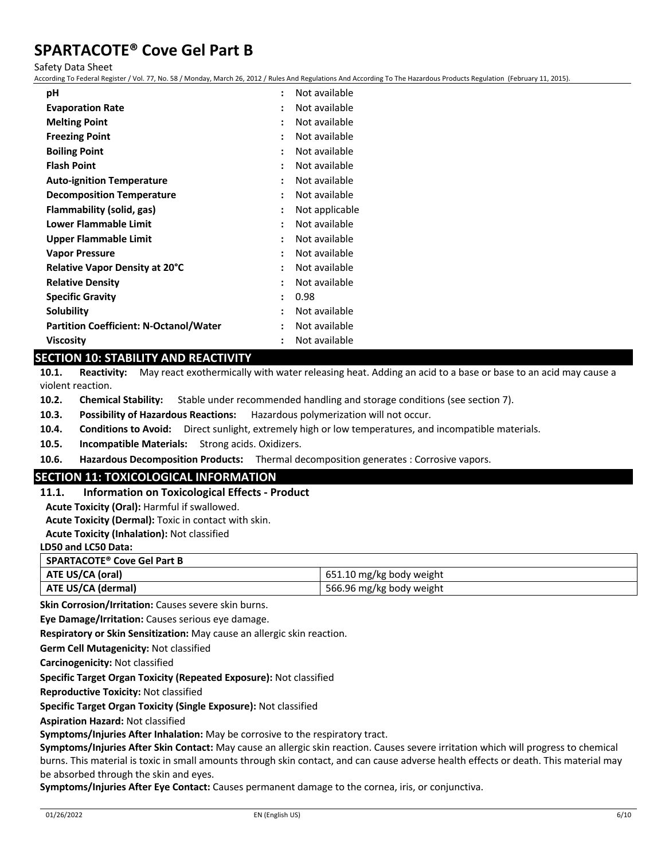Safety Data Sheet

According To Federal Register / Vol. 77, No. 58 / Monday, March 26, 2012 / Rules And Regulations And According To The Hazardous Products Regulation (February 11, 2015).

| рH                                            | $\ddot{\cdot}$       | Not available  |
|-----------------------------------------------|----------------------|----------------|
| <b>Evaporation Rate</b>                       |                      | Not available  |
| <b>Melting Point</b>                          |                      | Not available  |
| <b>Freezing Point</b>                         | $\ddot{\cdot}$       | Not available  |
| <b>Boiling Point</b>                          | ٠                    | Not available  |
| <b>Flash Point</b>                            | ٠                    | Not available  |
| <b>Auto-ignition Temperature</b>              | $\ddot{\cdot}$       | Not available  |
| <b>Decomposition Temperature</b>              | $\ddot{\cdot}$       | Not available  |
| Flammability (solid, gas)                     | $\ddot{\cdot}$       | Not applicable |
| Lower Flammable Limit                         |                      | Not available  |
| <b>Upper Flammable Limit</b>                  | $\ddot{\cdot}$       | Not available  |
| <b>Vapor Pressure</b>                         |                      | Not available  |
| <b>Relative Vapor Density at 20°C</b>         | $\ddot{\cdot}$       | Not available  |
| <b>Relative Density</b>                       | ٠                    | Not available  |
| <b>Specific Gravity</b>                       | $\ddot{\phantom{a}}$ | 0.98           |
| Solubility                                    | $\ddot{\cdot}$       | Not available  |
| <b>Partition Coefficient: N-Octanol/Water</b> | $\ddot{\cdot}$       | Not available  |
| Viscosity                                     |                      | Not available  |

# **SECTION 10: STABILITY AND REACTIVITY**

**10.1. Reactivity:** May react exothermically with water releasing heat. Adding an acid to a base or base to an acid may cause a violent reaction.

**10.2. Chemical Stability:** Stable under recommended handling and storage conditions (see section 7).

**10.3. Possibility of Hazardous Reactions:** Hazardous polymerization will not occur.

**10.4. Conditions to Avoid:** Direct sunlight, extremely high or low temperatures, and incompatible materials.

**10.5. Incompatible Materials:** Strong acids. Oxidizers.

**10.6. Hazardous Decomposition Products:** Thermal decomposition generates : Corrosive vapors.

## **SECTION 11: TOXICOLOGICAL INFORMATION**

**11.1. Information on Toxicological Effects - Product**

**Acute Toxicity (Oral):** Harmful if swallowed.

**Acute Toxicity (Dermal):** Toxic in contact with skin.

**Acute Toxicity (Inhalation):** Not classified

#### **LD50 and LC50 Data:**

| SPARTACOTE <sup>®</sup> Cove Gel Part B |                          |  |
|-----------------------------------------|--------------------------|--|
| ATE US/CA (oral)                        | 651.10 mg/kg body weight |  |
| ATE US/CA (dermal)                      | 566.96 mg/kg body weight |  |

**Skin Corrosion/Irritation:** Causes severe skin burns.

**Eye Damage/Irritation:** Causes serious eye damage.

**Respiratory or Skin Sensitization:** May cause an allergic skin reaction.

**Germ Cell Mutagenicity:** Not classified

**Carcinogenicity:** Not classified

**Specific Target Organ Toxicity (Repeated Exposure):** Not classified

**Reproductive Toxicity:** Not classified

**Specific Target Organ Toxicity (Single Exposure):** Not classified

**Aspiration Hazard:** Not classified

**Symptoms/Injuries After Inhalation:** May be corrosive to the respiratory tract.

**Symptoms/Injuries After Skin Contact:** May cause an allergic skin reaction. Causes severe irritation which will progress to chemical burns. This material is toxic in small amounts through skin contact, and can cause adverse health effects or death. This material may be absorbed through the skin and eyes.

**Symptoms/Injuries After Eye Contact:** Causes permanent damage to the cornea, iris, or conjunctiva.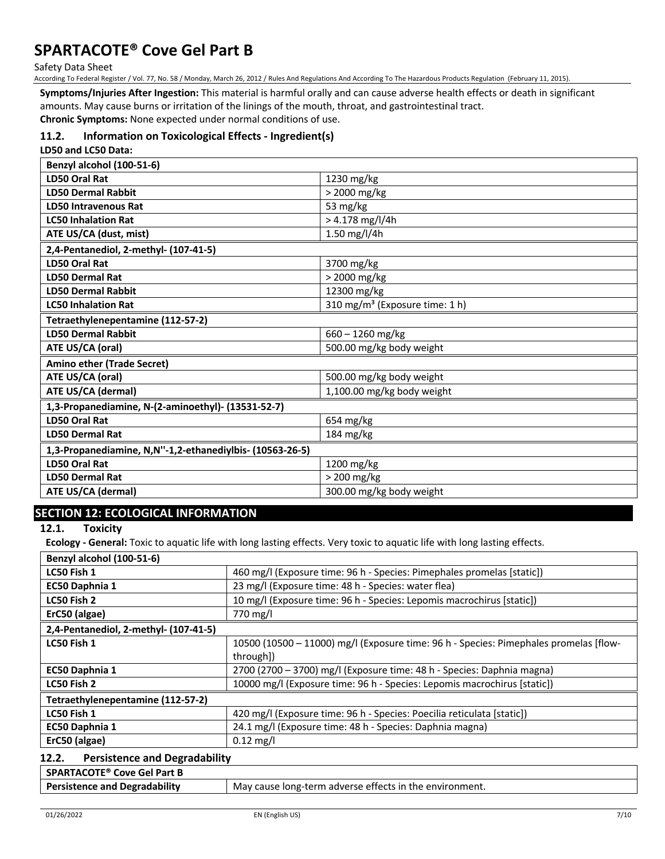Safety Data Sheet

According To Federal Register / Vol. 77, No. 58 / Monday, March 26, 2012 / Rules And Regulations And According To The Hazardous Products Regulation (February 11, 2015).

**Symptoms/Injuries After Ingestion:** This material is harmful orally and can cause adverse health effects or death in significant amounts. May cause burns or irritation of the linings of the mouth, throat, and gastrointestinal tract.

**Chronic Symptoms:** None expected under normal conditions of use.

# **11.2. Information on Toxicological Effects - Ingredient(s)**

**LD50 and LC50 Data:**

| Benzyl alcohol (100-51-6)                                |                                            |  |  |
|----------------------------------------------------------|--------------------------------------------|--|--|
| <b>LD50 Oral Rat</b>                                     | 1230 mg/kg                                 |  |  |
| <b>LD50 Dermal Rabbit</b>                                | > 2000 mg/kg                               |  |  |
| <b>LD50 Intravenous Rat</b>                              | 53 mg/kg                                   |  |  |
| <b>LC50 Inhalation Rat</b>                               | $> 4.178$ mg/l/4h                          |  |  |
| ATE US/CA (dust, mist)                                   | 1.50 mg/l/4h                               |  |  |
| 2,4-Pentanediol, 2-methyl- (107-41-5)                    |                                            |  |  |
| <b>LD50 Oral Rat</b>                                     | 3700 mg/kg                                 |  |  |
| <b>LD50 Dermal Rat</b>                                   | > 2000 mg/kg                               |  |  |
| <b>LD50 Dermal Rabbit</b>                                | 12300 mg/kg                                |  |  |
| <b>LC50 Inhalation Rat</b>                               | 310 mg/m <sup>3</sup> (Exposure time: 1 h) |  |  |
| Tetraethylenepentamine (112-57-2)                        |                                            |  |  |
| <b>LD50 Dermal Rabbit</b>                                | $660 - 1260$ mg/kg                         |  |  |
| ATE US/CA (oral)                                         | 500.00 mg/kg body weight                   |  |  |
| <b>Amino ether (Trade Secret)</b>                        |                                            |  |  |
| ATE US/CA (oral)                                         | 500.00 mg/kg body weight                   |  |  |
| ATE US/CA (dermal)                                       | 1,100.00 mg/kg body weight                 |  |  |
| 1,3-Propanediamine, N-(2-aminoethyl)- (13531-52-7)       |                                            |  |  |
| <b>LD50 Oral Rat</b>                                     | 654 mg/kg                                  |  |  |
| <b>LD50 Dermal Rat</b>                                   | 184 mg/kg                                  |  |  |
| 1,3-Propanediamine, N,N"-1,2-ethanediylbis- (10563-26-5) |                                            |  |  |
| <b>LD50 Oral Rat</b>                                     | 1200 mg/kg                                 |  |  |
| <b>LD50 Dermal Rat</b>                                   | > 200 mg/kg                                |  |  |
| ATE US/CA (dermal)                                       | 300.00 mg/kg body weight                   |  |  |

# **SECTION 12: ECOLOGICAL INFORMATION**

**12.1. Toxicity**

**Ecology - General:** Toxic to aquatic life with long lasting effects. Very toxic to aquatic life with long lasting effects.

| Benzyl alcohol (100-51-6)             |                                                                                       |
|---------------------------------------|---------------------------------------------------------------------------------------|
| LC50 Fish 1                           | 460 mg/l (Exposure time: 96 h - Species: Pimephales promelas [static])                |
| <b>EC50 Daphnia 1</b>                 | 23 mg/l (Exposure time: 48 h - Species: water flea)                                   |
| LC50 Fish 2                           | 10 mg/l (Exposure time: 96 h - Species: Lepomis macrochirus [static])                 |
| ErC50 (algae)                         | 770 mg/l                                                                              |
| 2,4-Pentanediol, 2-methyl- (107-41-5) |                                                                                       |
| LC50 Fish 1                           | 10500 (10500 - 11000) mg/l (Exposure time: 96 h - Species: Pimephales promelas [flow- |
|                                       | through])                                                                             |
| <b>EC50 Daphnia 1</b>                 | 2700 (2700 - 3700) mg/l (Exposure time: 48 h - Species: Daphnia magna)                |
| LC50 Fish 2                           | 10000 mg/l (Exposure time: 96 h - Species: Lepomis macrochirus [static])              |
| Tetraethylenepentamine (112-57-2)     |                                                                                       |
| LC50 Fish 1                           | 420 mg/l (Exposure time: 96 h - Species: Poecilia reticulata [static])                |
| EC50 Daphnia 1                        | 24.1 mg/l (Exposure time: 48 h - Species: Daphnia magna)                              |
| ErC50 (algae)                         | $0.12$ mg/l                                                                           |
|                                       |                                                                                       |

#### **12.2. Persistence and Degradability**

| SPARTACOTE <sup>®</sup> Cove Gel Part B |                                                         |
|-----------------------------------------|---------------------------------------------------------|
| <b>Persistence and Degradability</b>    | May cause long-term adverse effects in the environment. |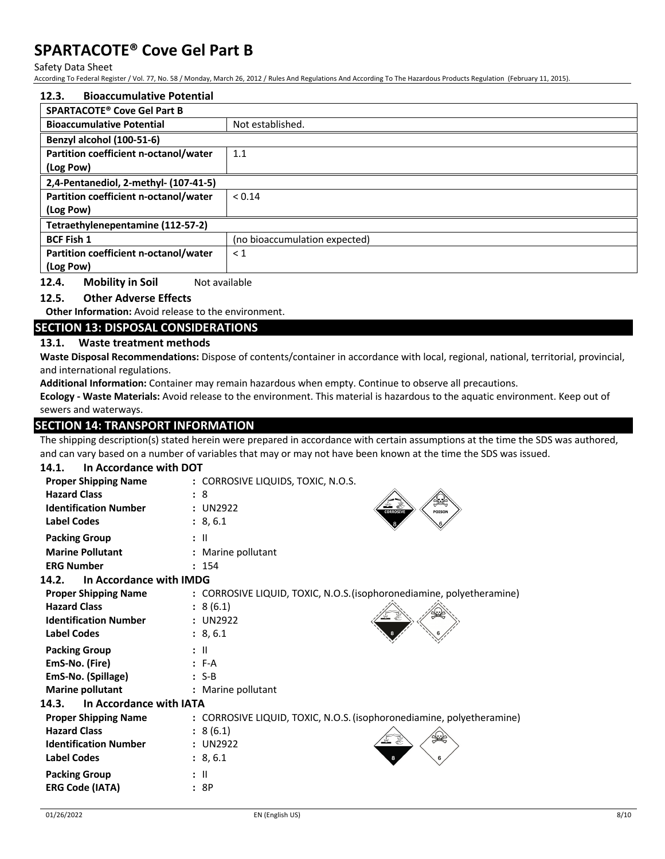Safety Data Sheet

According To Federal Register / Vol. 77, No. 58 / Monday, March 26, 2012 / Rules And Regulations And According To The Hazardous Products Regulation (February 11, 2015).

| <b>Bioaccumulative Potential</b><br>12.3.         |                               |
|---------------------------------------------------|-------------------------------|
| <b>SPARTACOTE<sup>®</sup> Cove Gel Part B</b>     |                               |
| <b>Bioaccumulative Potential</b>                  | Not established.              |
| Benzyl alcohol (100-51-6)                         |                               |
| Partition coefficient n-octanol/water             | 1.1                           |
| (Log Pow)                                         |                               |
| 2,4-Pentanediol, 2-methyl- (107-41-5)             |                               |
| Partition coefficient n-octanol/water             | < 0.14                        |
| (Log Pow)                                         |                               |
| Tetraethylenepentamine (112-57-2)                 |                               |
| <b>BCF Fish 1</b>                                 | (no bioaccumulation expected) |
| Partition coefficient n-octanol/water             | $\leq 1$                      |
| (Log Pow)                                         |                               |
| <b>Mobility in Soil</b><br>12.4.<br>Not available |                               |

## **12.5. Other Adverse Effects**

**Other Information:** Avoid release to the environment.

# **SECTION 13: DISPOSAL CONSIDERATIONS**

## **13.1. Waste treatment methods**

**Waste Disposal Recommendations:** Dispose of contents/container in accordance with local, regional, national, territorial, provincial, and international regulations.

**Additional Information:** Container may remain hazardous when empty. Continue to observe all precautions.

**Ecology - Waste Materials:** Avoid release to the environment. This material is hazardous to the aquatic environment. Keep out of sewers and waterways.

## **SECTION 14: TRANSPORT INFORMATION**

The shipping description(s) stated herein were prepared in accordance with certain assumptions at the time the SDS was authored, and can vary based on a number of variables that may or may not have been known at the time the SDS was issued.

| In Accordance with DOT<br>14.1.  |                                                                       |
|----------------------------------|-----------------------------------------------------------------------|
| <b>Proper Shipping Name</b>      | : CORROSIVE LIQUIDS, TOXIC, N.O.S.                                    |
| <b>Hazard Class</b>              | : 8                                                                   |
| <b>Identification Number</b>     | : UN2922<br><b>CORROSIVE</b><br><b>POISON</b>                         |
| <b>Label Codes</b>               | : 8, 6.1                                                              |
| <b>Packing Group</b>             | $:$ $\mathsf{II}$                                                     |
| <b>Marine Pollutant</b>          | : Marine pollutant                                                    |
| <b>ERG Number</b>                | : 154                                                                 |
| In Accordance with IMDG<br>14.2. |                                                                       |
| <b>Proper Shipping Name</b>      | : CORROSIVE LIQUID, TOXIC, N.O.S. (isophoronediamine, polyetheramine) |
| <b>Hazard Class</b>              | : 8(6.1)                                                              |
| <b>Identification Number</b>     | : UN2922                                                              |
| <b>Label Codes</b>               | : 8, 6.1                                                              |
| <b>Packing Group</b>             | $:$ $\mathbb{H}$                                                      |
| EmS-No. (Fire)                   | $: F-A$                                                               |
| EmS-No. (Spillage)               | $: S-B$                                                               |
| <b>Marine pollutant</b>          | : Marine pollutant                                                    |
| In Accordance with IATA<br>14.3. |                                                                       |
| <b>Proper Shipping Name</b>      | : CORROSIVE LIQUID, TOXIC, N.O.S. (isophoronediamine, polyetheramine) |
| <b>Hazard Class</b>              | : 8(6.1)                                                              |
| <b>Identification Number</b>     | : UN2922                                                              |
| <b>Label Codes</b>               | : 8, 6.1                                                              |
| <b>Packing Group</b>             | : II                                                                  |
| <b>ERG Code (IATA)</b>           | : 8P                                                                  |
|                                  |                                                                       |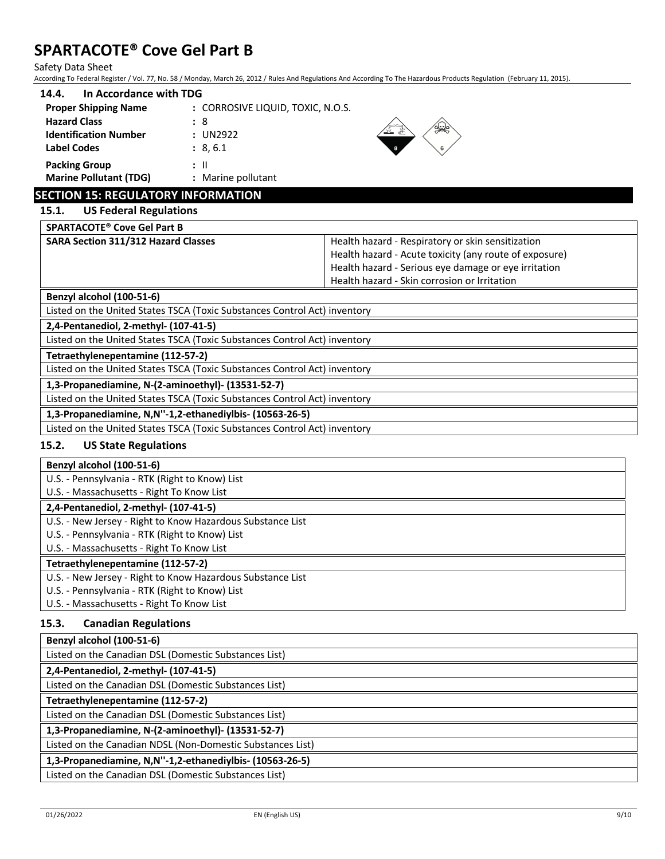Safety Data Sheet

According To Federal Register / Vol. 77, No. 58 / Monday, March 26, 2012 / Rules And Regulations And According To The Hazardous Products Regulation (February 11, 2015).

| In Accordance with TDG<br>14.4. |                                   |
|---------------------------------|-----------------------------------|
| <b>Proper Shipping Name</b>     | : CORROSIVE LIQUID, TOXIC, N.O.S. |
| <b>Hazard Class</b>             | : 8                               |
| <b>Identification Number</b>    | : UN2922                          |
| <b>Label Codes</b>              | : 8, 6.1                          |
| <b>Packing Group</b>            | : II                              |
| <b>Marine Pollutant (TDG)</b>   | : Marine pollutant                |



# **SECTION 15: REGULATORY INFORMATION**

# **15.1. US Federal Regulations**

**SPARTACOTE® Cove Gel Part B**

**SARA Section 311/312 Hazard Classes** Health hazard - Respiratory or skin sensitization Health hazard - Acute toxicity (any route of exposure) Health hazard - Serious eye damage or eye irritation Health hazard - Skin corrosion or Irritation

# **Benzyl alcohol (100-51-6)**

Listed on the United States TSCA (Toxic Substances Control Act) inventory

**2,4-Pentanediol, 2-methyl- (107-41-5)**

Listed on the United States TSCA (Toxic Substances Control Act) inventory

**Tetraethylenepentamine (112-57-2)**

Listed on the United States TSCA (Toxic Substances Control Act) inventory

**1,3-Propanediamine, N-(2-aminoethyl)- (13531-52-7)**

Listed on the United States TSCA (Toxic Substances Control Act) inventory

**1,3-Propanediamine, N,N''-1,2-ethanediylbis- (10563-26-5)**

Listed on the United States TSCA (Toxic Substances Control Act) inventory

# **15.2. US State Regulations**

# **Benzyl alcohol (100-51-6)**

U.S. - Pennsylvania - RTK (Right to Know) List

U.S. - Massachusetts - Right To Know List

## **2,4-Pentanediol, 2-methyl- (107-41-5)**

U.S. - New Jersey - Right to Know Hazardous Substance List

U.S. - Pennsylvania - RTK (Right to Know) List

U.S. - Massachusetts - Right To Know List

## **Tetraethylenepentamine (112-57-2)**

U.S. - New Jersey - Right to Know Hazardous Substance List

U.S. - Pennsylvania - RTK (Right to Know) List

U.S. - Massachusetts - Right To Know List

## **15.3. Canadian Regulations**

**Benzyl alcohol (100-51-6)**

Listed on the Canadian DSL (Domestic Substances List)

# **2,4-Pentanediol, 2-methyl- (107-41-5)**

Listed on the Canadian DSL (Domestic Substances List)

**Tetraethylenepentamine (112-57-2)**

Listed on the Canadian DSL (Domestic Substances List)

**1,3-Propanediamine, N-(2-aminoethyl)- (13531-52-7)**

Listed on the Canadian NDSL (Non-Domestic Substances List)

**1,3-Propanediamine, N,N''-1,2-ethanediylbis- (10563-26-5)**

Listed on the Canadian DSL (Domestic Substances List)